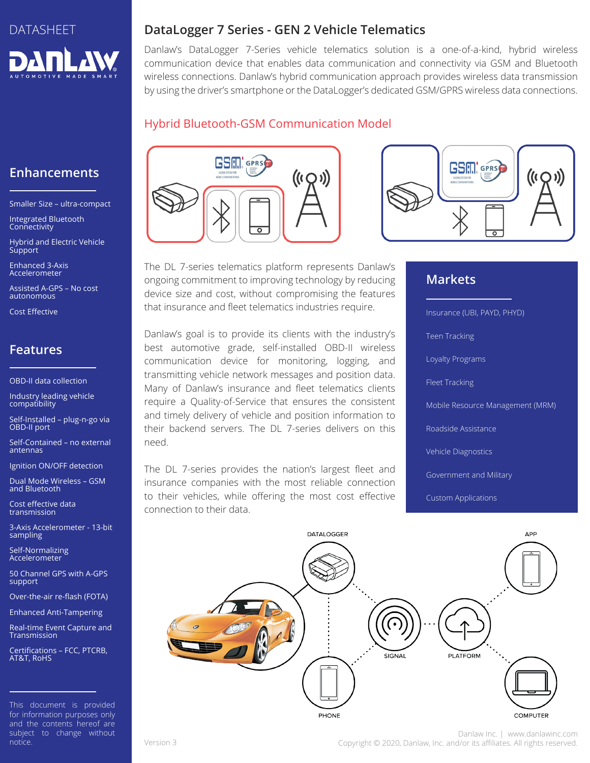

# **Enhancements**

Smaller Size – ultra-compact

Integrated Bluetooth **Connectivity** 

Hybrid and Electric Vehicle **Support** 

Enhanced 3-Axis Accelerometer

Assisted A-GPS – No cost autonomous

Cost Effective

# **Features**

OBD-II data collection

Industry leading vehicle compatibility

Self-Installed – plug-n-go via OBD-II port

Self-Contained – no external antennas

Ignition ON/OFF detection

Dual Mode Wireless – GSM and Bluetooth

Cost effective data transmission

3-Axis Accelerometer - 13-bit sampling

Self-Normalizing Accelerometer

50 Channel GPS with A-GPS support

Over-the-air re-flash (FOTA)

Enhanced Anti-Tampering

Real-time Event Capture and Transmission

Certifications – FCC, PTCRB, AT&T, RoHS

#### **DataLogger 7 Series - GEN 2 Vehicle Telematics**

Danlaw's DataLogger 7-Series vehicle telematics solution is a one-of-a-kind, hybrid wireless communication device that enables data communication and connectivity via GSM and Bluetooth wireless connections. Danlaw's hybrid communication approach provides wireless data transmission by using the driver's smartphone or the DataLogger's dedicated GSM/GPRS wireless data connections.

### Hybrid Bluetooth-GSM Communication Model





The DL 7-series telematics platform represents Danlaw's ongoing commitment to improving technology by reducing device size and cost, without compromising the features that insurance and fleet telematics industries require.

Danlaw's goal is to provide its clients with the industry's best automotive grade, self-installed OBD-II wireless communication device for monitoring, logging, and transmitting vehicle network messages and position data. Many of Danlaw's insurance and fleet telematics clients require a Quality-of-Service that ensures the consistent and timely delivery of vehicle and position information to their backend servers. The DL 7-series delivers on this need.

The DL 7-series provides the nation's largest fleet and insurance companies with the most reliable connection to their vehicles, while offering the most cost effective connection to their data.

## **Markets**

Insurance (UBI, PAYD, PHYD) Teen Tracking Loyalty Programs Fleet Tracking Mobile Resource Management (MRM) Roadside Assistance Vehicle Diagnostics Government and Military Custom Applications



Danlaw Inc. | www.danlawinc.com Version 3 Copyright © 2020, Danlaw, Inc. and/or its affiliates. All rights reserved.

This document is provided for information purposes only and the contents hereof are subject to change without notice.